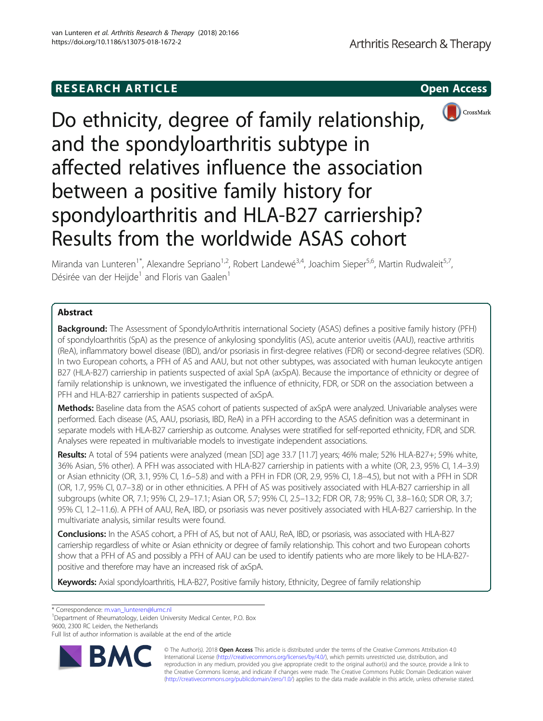# **RESEARCH ARTICLE Example 2014 CONSIDERING CONSIDERING CONSIDERING CONSIDERING CONSIDERING CONSIDERING CONSIDERING CONSIDERING CONSIDERING CONSIDERING CONSIDERING CONSIDERING CONSIDERING CONSIDERING CONSIDERING CONSIDE**



Do ethnicity, degree of family relationship, and the spondyloarthritis subtype in affected relatives influence the association between a positive family history for spondyloarthritis and HLA-B27 carriership? Results from the worldwide ASAS cohort

Miranda van Lunteren<sup>1\*</sup>, Alexandre Sepriano<sup>1,2</sup>, Robert Landewé<sup>3,4</sup>, Joachim Sieper<sup>5,6</sup>, Martin Rudwaleit<sup>5,7</sup>, Désirée van der Heijde<sup>1</sup> and Floris van Gaalen<sup>1</sup>

## Abstract

**Background:** The Assessment of SpondyloArthritis international Society (ASAS) defines a positive family history (PFH) of spondyloarthritis (SpA) as the presence of ankylosing spondylitis (AS), acute anterior uveitis (AAU), reactive arthritis (ReA), inflammatory bowel disease (IBD), and/or psoriasis in first-degree relatives (FDR) or second-degree relatives (SDR). In two European cohorts, a PFH of AS and AAU, but not other subtypes, was associated with human leukocyte antigen B27 (HLA-B27) carriership in patients suspected of axial SpA (axSpA). Because the importance of ethnicity or degree of family relationship is unknown, we investigated the influence of ethnicity, FDR, or SDR on the association between a PFH and HLA-B27 carriership in patients suspected of axSpA.

Methods: Baseline data from the ASAS cohort of patients suspected of axSpA were analyzed. Univariable analyses were performed. Each disease (AS, AAU, psoriasis, IBD, ReA) in a PFH according to the ASAS definition was a determinant in separate models with HLA-B27 carriership as outcome. Analyses were stratified for self-reported ethnicity, FDR, and SDR. Analyses were repeated in multivariable models to investigate independent associations.

Results: A total of 594 patients were analyzed (mean [SD] age 33.7 [11.7] years; 46% male; 52% HLA-B27+; 59% white, 36% Asian, 5% other). A PFH was associated with HLA-B27 carriership in patients with a white (OR, 2.3, 95% CI, 1.4–3.9) or Asian ethnicity (OR, 3.1, 95% CI, 1.6–5.8) and with a PFH in FDR (OR, 2.9, 95% CI, 1.8–4.5), but not with a PFH in SDR (OR, 1.7, 95% CI, 0.7–3.8) or in other ethnicities. A PFH of AS was positively associated with HLA-B27 carriership in all subgroups (white OR, 7.1; 95% CI, 2.9–17.1; Asian OR, 5.7; 95% CI, 2.5–13.2; FDR OR, 7.8; 95% CI, 3.8–16.0; SDR OR, 3.7; 95% CI, 1.2–11.6). A PFH of AAU, ReA, IBD, or psoriasis was never positively associated with HLA-B27 carriership. In the multivariate analysis, similar results were found.

Conclusions: In the ASAS cohort, a PFH of AS, but not of AAU, ReA, IBD, or psoriasis, was associated with HLA-B27 carriership regardless of white or Asian ethnicity or degree of family relationship. This cohort and two European cohorts show that a PFH of AS and possibly a PFH of AAU can be used to identify patients who are more likely to be HLA-B27 positive and therefore may have an increased risk of axSpA.

Keywords: Axial spondyloarthritis, HLA-B27, Positive family history, Ethnicity, Degree of family relationship

\* Correspondence: [m.van\\_lunteren@lumc.nl](mailto:m.van_lunteren@lumc.nl) <sup>1</sup>

<sup>1</sup>Department of Rheumatology, Leiden University Medical Center, P.O. Box 9600, 2300 RC Leiden, the Netherlands

Full list of author information is available at the end of the article



© The Author(s). 2018 Open Access This article is distributed under the terms of the Creative Commons Attribution 4.0 International License [\(http://creativecommons.org/licenses/by/4.0/](http://creativecommons.org/licenses/by/4.0/)), which permits unrestricted use, distribution, and reproduction in any medium, provided you give appropriate credit to the original author(s) and the source, provide a link to the Creative Commons license, and indicate if changes were made. The Creative Commons Public Domain Dedication waiver [\(http://creativecommons.org/publicdomain/zero/1.0/](http://creativecommons.org/publicdomain/zero/1.0/)) applies to the data made available in this article, unless otherwise stated.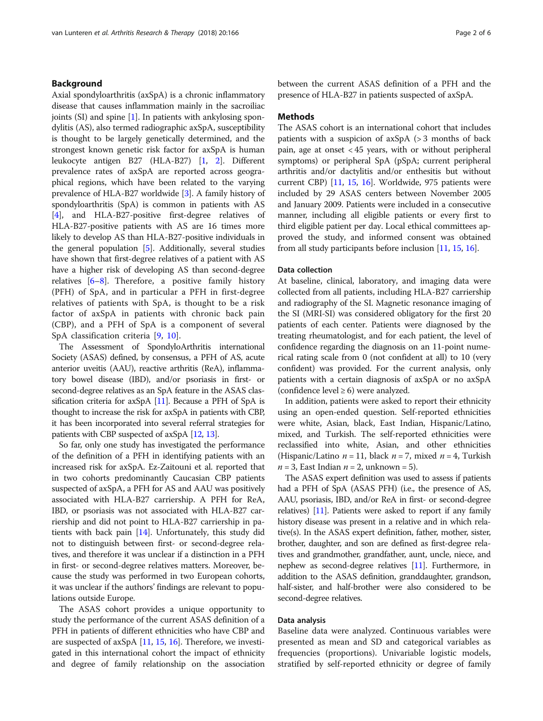## Background

Axial spondyloarthritis (axSpA) is a chronic inflammatory disease that causes inflammation mainly in the sacroiliac joints (SI) and spine  $[1]$  $[1]$ . In patients with ankylosing spondylitis (AS), also termed radiographic axSpA, susceptibility is thought to be largely genetically determined, and the strongest known genetic risk factor for axSpA is human leukocyte antigen B27 (HLA-B27) [\[1,](#page-5-0) [2](#page-5-0)]. Different prevalence rates of axSpA are reported across geographical regions, which have been related to the varying prevalence of HLA-B27 worldwide [\[3](#page-5-0)]. A family history of spondyloarthritis (SpA) is common in patients with AS [[4\]](#page-5-0), and HLA-B27-positive first-degree relatives of HLA-B27-positive patients with AS are 16 times more likely to develop AS than HLA-B27-positive individuals in the general population [[5](#page-5-0)]. Additionally, several studies have shown that first-degree relatives of a patient with AS have a higher risk of developing AS than second-degree relatives [[6](#page-5-0)–[8](#page-5-0)]. Therefore, a positive family history (PFH) of SpA, and in particular a PFH in first-degree relatives of patients with SpA, is thought to be a risk factor of axSpA in patients with chronic back pain (CBP), and a PFH of SpA is a component of several SpA classification criteria [[9,](#page-5-0) [10](#page-5-0)].

The Assessment of SpondyloArthritis international Society (ASAS) defined, by consensus, a PFH of AS, acute anterior uveitis (AAU), reactive arthritis (ReA), inflammatory bowel disease (IBD), and/or psoriasis in first- or second-degree relatives as an SpA feature in the ASAS classification criteria for axSpA [\[11\]](#page-5-0). Because a PFH of SpA is thought to increase the risk for axSpA in patients with CBP, it has been incorporated into several referral strategies for patients with CBP suspected of axSpA [\[12](#page-5-0), [13\]](#page-5-0).

So far, only one study has investigated the performance of the definition of a PFH in identifying patients with an increased risk for axSpA. Ez-Zaitouni et al. reported that in two cohorts predominantly Caucasian CBP patients suspected of axSpA, a PFH for AS and AAU was positively associated with HLA-B27 carriership. A PFH for ReA, IBD, or psoriasis was not associated with HLA-B27 carriership and did not point to HLA-B27 carriership in patients with back pain [\[14\]](#page-5-0). Unfortunately, this study did not to distinguish between first- or second-degree relatives, and therefore it was unclear if a distinction in a PFH in first- or second-degree relatives matters. Moreover, because the study was performed in two European cohorts, it was unclear if the authors' findings are relevant to populations outside Europe.

The ASAS cohort provides a unique opportunity to study the performance of the current ASAS definition of a PFH in patients of different ethnicities who have CBP and are suspected of axSpA [\[11,](#page-5-0) [15](#page-5-0), [16\]](#page-5-0). Therefore, we investigated in this international cohort the impact of ethnicity and degree of family relationship on the association between the current ASAS definition of a PFH and the presence of HLA-B27 in patients suspected of axSpA.

## Methods

The ASAS cohort is an international cohort that includes patients with a suspicion of axSpA (> 3 months of back pain, age at onset < 45 years, with or without peripheral symptoms) or peripheral SpA (pSpA; current peripheral arthritis and/or dactylitis and/or enthesitis but without current CBP) [[11](#page-5-0), [15,](#page-5-0) [16](#page-5-0)]. Worldwide, 975 patients were included by 29 ASAS centers between November 2005 and January 2009. Patients were included in a consecutive manner, including all eligible patients or every first to third eligible patient per day. Local ethical committees approved the study, and informed consent was obtained from all study participants before inclusion [\[11,](#page-5-0) [15](#page-5-0), [16](#page-5-0)].

## Data collection

At baseline, clinical, laboratory, and imaging data were collected from all patients, including HLA-B27 carriership and radiography of the SI. Magnetic resonance imaging of the SI (MRI-SI) was considered obligatory for the first 20 patients of each center. Patients were diagnosed by the treating rheumatologist, and for each patient, the level of confidence regarding the diagnosis on an 11-point numerical rating scale from 0 (not confident at all) to 10 (very confident) was provided. For the current analysis, only patients with a certain diagnosis of axSpA or no axSpA (confidence level  $\geq 6$ ) were analyzed.

In addition, patients were asked to report their ethnicity using an open-ended question. Self-reported ethnicities were white, Asian, black, East Indian, Hispanic/Latino, mixed, and Turkish. The self-reported ethnicities were reclassified into white, Asian, and other ethnicities (Hispanic/Latino  $n = 11$ , black  $n = 7$ , mixed  $n = 4$ , Turkish  $n = 3$ , East Indian  $n = 2$ , unknown = 5).

The ASAS expert definition was used to assess if patients had a PFH of SpA (ASAS PFH) (i.e., the presence of AS, AAU, psoriasis, IBD, and/or ReA in first- or second-degree relatives) [\[11\]](#page-5-0). Patients were asked to report if any family history disease was present in a relative and in which relative(s). In the ASAS expert definition, father, mother, sister, brother, daughter, and son are defined as first-degree relatives and grandmother, grandfather, aunt, uncle, niece, and nephew as second-degree relatives [\[11\]](#page-5-0). Furthermore, in addition to the ASAS definition, granddaughter, grandson, half-sister, and half-brother were also considered to be second-degree relatives.

### Data analysis

Baseline data were analyzed. Continuous variables were presented as mean and SD and categorical variables as frequencies (proportions). Univariable logistic models, stratified by self-reported ethnicity or degree of family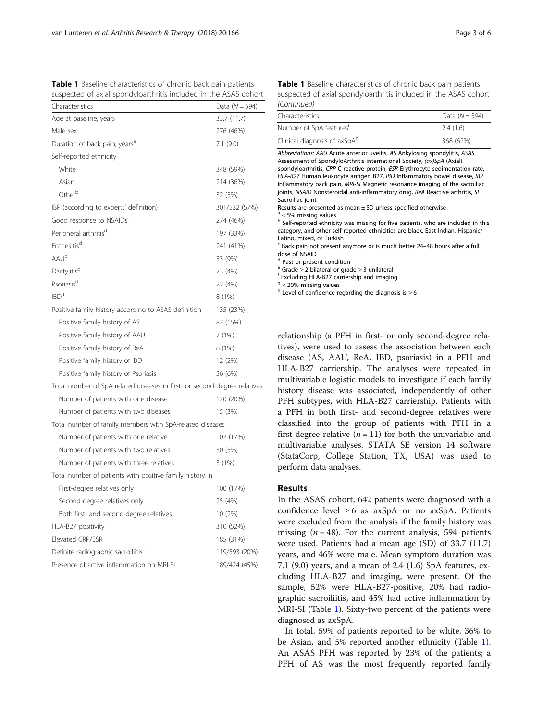<span id="page-2-0"></span>

|  | Table 1 Baseline characteristics of chronic back pain patients   |  |  |
|--|------------------------------------------------------------------|--|--|
|  | suspected of axial spondyloarthritis included in the ASAS cohort |  |  |

| Characteristics                                                           | Data ( $N = 594$ ) |
|---------------------------------------------------------------------------|--------------------|
| Age at baseline, years                                                    | 33.7 (11.7)        |
| Male sex                                                                  | 276 (46%)          |
| Duration of back pain, years <sup>a</sup>                                 | 7.1(9.0)           |
| Self-reported ethnicity                                                   |                    |
| White                                                                     | 348 (59%)          |
| Asian                                                                     | 214 (36%)          |
| Other <sup>b</sup>                                                        | 32 (5%)            |
| IBP (according to experts' definition)                                    | 301/532 (57%)      |
| Good response to NSAIDs <sup>c</sup>                                      | 274 (46%)          |
| Peripheral arthritis <sup>d</sup>                                         | 197 (33%)          |
| Enthesitis <sup>d</sup>                                                   | 241 (41%)          |
| AAU <sup>d</sup>                                                          | 53 (9%)            |
| Dactylitis <sup>d</sup>                                                   | 23 (4%)            |
| Psoriasis <sup>d</sup>                                                    | 22 (4%)            |
| IBD <sup>d</sup>                                                          | 8 (1%)             |
| Positive family history according to ASAS definition                      | 135 (23%)          |
| Positive family history of AS                                             | 87 (15%)           |
| Positive family history of AAU                                            | 7(1%)              |
| Positive family history of ReA                                            | 8 (1%)             |
| Positive family history of IBD                                            | 12 (2%)            |
| Positive family history of Psoriasis                                      | 36 (6%)            |
| Total number of SpA-related diseases in first- or second-degree relatives |                    |
| Number of patients with one disease                                       | 120 (20%)          |
| Number of patients with two diseases                                      | 15 (3%)            |
| Total number of family members with SpA-related diseases                  |                    |
| Number of patients with one relative                                      | 102 (17%)          |
| Number of patients with two relatives                                     | 30 (5%)            |
| Number of patients with three relatives                                   | 3(1%)              |
| Total number of patients with positive family history in                  |                    |
| First-degree relatives only                                               | 100 (17%)          |
| Second-degree relatives only                                              | 25 (4%)            |
| Both first- and second-degree relatives                                   | 10 (2%)            |
| HLA-B27 positivity                                                        | 310 (52%)          |
| Elevated CRP/ESR                                                          | 185 (31%)          |
| Definite radiographic sacroiliitis <sup>e</sup>                           | 119/593 (20%)      |
| Presence of active inflammation on MRI-SI                                 | 189/424 (45%)      |

Table 1 Baseline characteristics of chronic back pain patients suspected of axial spondyloarthritis included in the ASAS cohort (Continued)

| $1$ CUTTLES SUCTS                                                                                                                                                                                                                                                                                                                                                                                                                                                                                                                                                                                                                                                                                                                                                                                                                                                                                                                                                                                                                                                                                                                                                                              |                  |
|------------------------------------------------------------------------------------------------------------------------------------------------------------------------------------------------------------------------------------------------------------------------------------------------------------------------------------------------------------------------------------------------------------------------------------------------------------------------------------------------------------------------------------------------------------------------------------------------------------------------------------------------------------------------------------------------------------------------------------------------------------------------------------------------------------------------------------------------------------------------------------------------------------------------------------------------------------------------------------------------------------------------------------------------------------------------------------------------------------------------------------------------------------------------------------------------|------------------|
| Characteristics                                                                                                                                                                                                                                                                                                                                                                                                                                                                                                                                                                                                                                                                                                                                                                                                                                                                                                                                                                                                                                                                                                                                                                                | Data $(N = 594)$ |
| Number of SpA featuresf,9                                                                                                                                                                                                                                                                                                                                                                                                                                                                                                                                                                                                                                                                                                                                                                                                                                                                                                                                                                                                                                                                                                                                                                      | 2.4(1.6)         |
| Clinical diagnosis of axSpAh                                                                                                                                                                                                                                                                                                                                                                                                                                                                                                                                                                                                                                                                                                                                                                                                                                                                                                                                                                                                                                                                                                                                                                   | 368 (62%)        |
| Abbreviations: AAU Acute anterior uveitis, AS Ankylosing spondylitis, ASAS<br>Assessment of SpondyloArthritis international Society, (ax)SpA (Axial)<br>spondyloarthritis, CRP C-reactive protein, ESR Erythrocyte sedimentation rate,<br>HLA-B27 Human leukocyte antigen B27, IBD Inflammatory bowel disease, IBP<br>Inflammatory back pain, MRI-SI Magnetic resonance imaging of the sacroiliac<br>joints, NSAID Nonsteroidal anti-inflammatory drug, ReA Reactive arthritis, SI<br>Sacroiliac joint<br>Results are presented as mean $\pm$ SD unless specified otherwise<br>$a$ < 5% missing values<br><sup>b</sup> Self-reported ethnicity was missing for five patients, who are included in this<br>category, and other self-reported ethnicities are black, East Indian, Hispanic/<br>Latino, mixed, or Turkish<br><sup>c</sup> Back pain not present anymore or is much better 24-48 hours after a full<br>dose of NSAID<br><sup>d</sup> Past or present condition<br>$e^e$ Grade $\geq$ 2 bilateral or grade $\geq$ 3 unilateral<br><sup>f</sup> Excluding HLA-B27 carriership and imaging<br>$9$ < 20% missing values<br>$h$ Level of confidence regarding the diagnosis is $\geq 6$ |                  |
| relationship (a PFH in first- or only second-degree rela-<br>tives), were used to assess the association between each<br>disease (AS, AAU, ReA, IBD, psoriasis) in a PFH and<br>HLA-B27 carriership. The analyses were repeated in<br>multivariable logistic models to investigate if each family<br>history disease was associated, independently of other<br>PFH subtypes, with HLA-B27 carriership. Patients with<br>a PFH in both first- and second-degree relatives were<br>classified into the group of patients with PFH in a<br>first-degree relative ( $n = 11$ ) for both the univariable and<br>multivariable analyses. STATA SE version 14 software                                                                                                                                                                                                                                                                                                                                                                                                                                                                                                                                |                  |

#### Results

perform data analyses.

In the ASAS cohort, 642 patients were diagnosed with a confidence level  $\geq 6$  as axSpA or no axSpA. Patients were excluded from the analysis if the family history was missing  $(n = 48)$ . For the current analysis, 594 patients were used. Patients had a mean age (SD) of 33.7 (11.7) years, and 46% were male. Mean symptom duration was 7.1 (9.0) years, and a mean of 2.4 (1.6) SpA features, excluding HLA-B27 and imaging, were present. Of the sample, 52% were HLA-B27-positive, 20% had radiographic sacroiliitis, and 45% had active inflammation by MRI-SI (Table 1). Sixty-two percent of the patients were diagnosed as axSpA.

(StataCorp, College Station, TX, USA) was used to

In total, 59% of patients reported to be white, 36% to be Asian, and 5% reported another ethnicity (Table 1). An ASAS PFH was reported by 23% of the patients; a PFH of AS was the most frequently reported family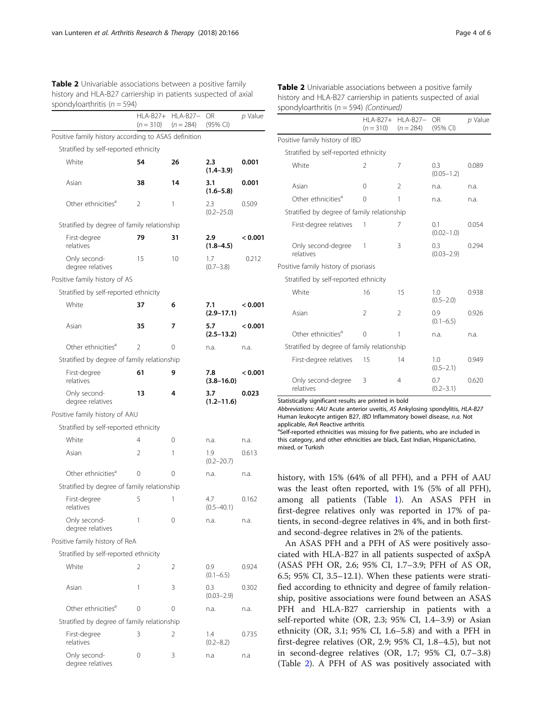<span id="page-3-0"></span>

| <b>Table 2</b> Univariable associations between a positive family |
|-------------------------------------------------------------------|
| history and HLA-B27 carriership in patients suspected of axial    |
| spondyloarthritis ( $n = 594$ )                                   |

|                                                      | <b>HLA-B27+</b><br>$(n = 310)$ | <b>HLA-B27-</b><br>$(n = 284)$ | OR<br>(95% CI)        | p Value |
|------------------------------------------------------|--------------------------------|--------------------------------|-----------------------|---------|
| Positive family history according to ASAS definition |                                |                                |                       |         |
| Stratified by self-reported ethnicity                |                                |                                |                       |         |
| White                                                | 54                             | 26                             | 2.3<br>$(1.4 - 3.9)$  | 0.001   |
| Asian                                                | 38                             | 14                             | 3.1<br>$(1.6 - 5.8)$  | 0.001   |
| Other ethnicities <sup>d</sup>                       | 2                              | 1                              | 2.3<br>$(0.2 - 25.0)$ | 0.509   |
| Stratified by degree of family relationship          |                                |                                |                       |         |
| First-degree<br>relatives                            | 79                             | 31                             | 2.9<br>$(1.8 - 4.5)$  | < 0.001 |
| Only second-<br>degree relatives                     | 15                             | 10                             | 1.7<br>$(0.7 - 3.8)$  | 0.212   |
| Positive family history of AS                        |                                |                                |                       |         |
| Stratified by self-reported ethnicity                |                                |                                |                       |         |
| White                                                | 37                             | 6                              | 7.1<br>$(2.9 - 17.1)$ | < 0.001 |
| Asian                                                | 35                             | 7                              | 5.7<br>$(2.5 - 13.2)$ | < 0.001 |
| Other ethnicities <sup>a</sup>                       | 2                              | 0                              | n.a.                  | n.a.    |
| Stratified by degree of family relationship          |                                |                                |                       |         |
| First-degree<br>relatives                            | 61                             | 9                              | 7.8<br>$(3.8 - 16.0)$ | < 0.001 |
| Only second-<br>degree relatives                     | 13                             | 4                              | 3.7<br>$(1.2 - 11.6)$ | 0.023   |
| Positive family history of AAU                       |                                |                                |                       |         |
| Stratified by self-reported ethnicity                |                                |                                |                       |         |
| White                                                | 4                              | 0                              | n.a.                  | n.a.    |
| Asian                                                | 2                              | 1                              | 1.9<br>$(0.2 - 20.7)$ | 0.613   |
| Other ethnicities <sup>a</sup>                       | 0                              | 0                              | n.a.                  | n.a.    |
| Stratified by degree of family relationship          |                                |                                |                       |         |
| First-degree<br>relatives                            | 5                              | 1                              | 4.7<br>$(0.5 - 40.1)$ | 0.162   |
| Only second-<br>degree relatives                     | 1                              | 0                              | n.a.                  | n.a.    |
| Positive family history of ReA                       |                                |                                |                       |         |
| Stratified by self-reported ethnicity                |                                |                                |                       |         |
| White                                                | 2                              | 2                              | 0.9<br>$(0.1 - 6.5)$  | 0.924   |
| Asian                                                | 1                              | 3                              | 0.3<br>$(0.03 - 2.9)$ | 0.302   |
| Other ethnicities <sup>a</sup>                       | 0                              | 0                              | n.a.                  | n.a.    |
| Stratified by degree of family relationship          |                                |                                |                       |         |
| First-degree<br>relatives                            | 3                              | 2                              | 1.4<br>$(0.2 - 8.2)$  | 0.735   |
| Only second-<br>degree relatives                     | 0                              | 3                              | n.a                   | n.a     |

Table 2 Univariable associations between a positive family history and HLA-B27 carriership in patients suspected of axial spondyloarthritis ( $n = 594$ ) (Continued)

|                                             | $HLA-B27+$<br>$(n = 310)$ | $HLA-B27-$<br>$(n = 284)$ | OR.<br>(95% CI)       | p Value |
|---------------------------------------------|---------------------------|---------------------------|-----------------------|---------|
| Positive family history of IBD              |                           |                           |                       |         |
| Stratified by self-reported ethnicity       |                           |                           |                       |         |
| White                                       | 2                         | 7                         | 0.3<br>$(0.05 - 1.2)$ | 0.089   |
| Asian                                       | $\Omega$                  | 2                         | n.a.                  | n.a.    |
| Other ethnicities <sup>a</sup>              | $\Omega$                  | 1                         | n.a.                  | n.a.    |
| Stratified by degree of family relationship |                           |                           |                       |         |
| First-degree relatives                      | 1                         | 7                         | 0.1<br>$(0.02 - 1.0)$ | 0.054   |
| Only second-degree<br>relatives             | 1                         | 3                         | 0.3<br>$(0.03 - 2.9)$ | 0.294   |
| Positive family history of psoriasis        |                           |                           |                       |         |
| Stratified by self-reported ethnicity       |                           |                           |                       |         |
| White                                       | 16                        | 15                        | 1.0<br>$(0.5 - 2.0)$  | 0.938   |
| Asian                                       | $\overline{\phantom{a}}$  | $\mathfrak{D}$            | 0.9<br>$(0.1 - 6.5)$  | 0.926   |
| Other ethnicities <sup>a</sup>              | $\Omega$                  | 1                         | n.a.                  | n.a.    |
| Stratified by degree of family relationship |                           |                           |                       |         |
| First-degree relatives                      | 15                        | 14                        | 1.0<br>$(0.5 - 2.1)$  | 0.949   |
| Only second-degree<br>relatives             | 3                         | 4                         | 0.7<br>$(0.2 - 3.1)$  | 0.620   |

Statistically significant results are printed in bold

Abbreviations: AAU Acute anterior uveitis, AS Ankylosing spondylitis, HLA-B27 Human leukocyte antigen B27, IBD Inflammatory bowel disease, n.a. Not applicable, ReA Reactive arthritis

<sup>a</sup>Self-reported ethnicities was missing for five patients, who are included in this category, and other ethnicities are black, East Indian, Hispanic/Latino, mixed, or Turkish

history, with 15% (64% of all PFH), and a PFH of AAU was the least often reported, with 1% (5% of all PFH), among all patients (Table [1\)](#page-2-0). An ASAS PFH in first-degree relatives only was reported in 17% of patients, in second-degree relatives in 4%, and in both firstand second-degree relatives in 2% of the patients.

An ASAS PFH and a PFH of AS were positively associated with HLA-B27 in all patients suspected of axSpA (ASAS PFH OR, 2.6; 95% CI, 1.7–3.9; PFH of AS OR, 6.5; 95% CI, 3.5–12.1). When these patients were stratified according to ethnicity and degree of family relationship, positive associations were found between an ASAS PFH and HLA-B27 carriership in patients with a self-reported white (OR, 2.3; 95% CI, 1.4–3.9) or Asian ethnicity (OR, 3.1; 95% CI, 1.6–5.8) and with a PFH in first-degree relatives (OR, 2.9; 95% CI, 1.8–4.5), but not in second-degree relatives (OR, 1.7; 95% CI, 0.7–3.8) (Table 2). A PFH of AS was positively associated with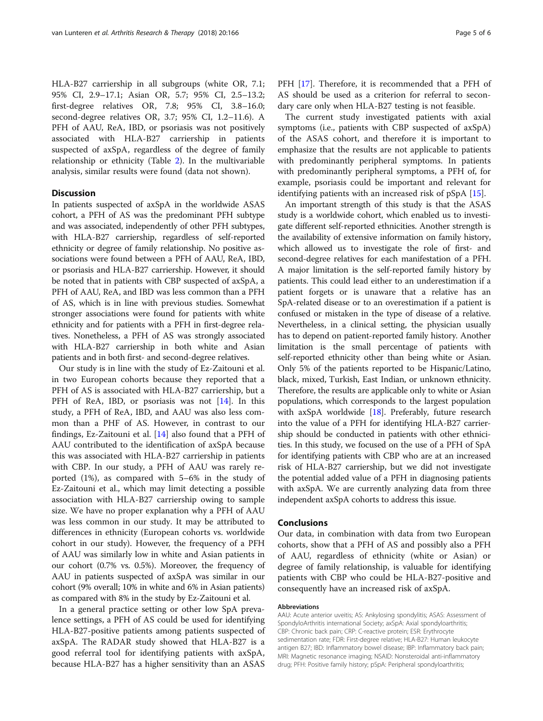HLA-B27 carriership in all subgroups (white OR, 7.1; 95% CI, 2.9–17.1; Asian OR, 5.7; 95% CI, 2.5–13.2; first-degree relatives OR, 7.8; 95% CI, 3.8–16.0; second-degree relatives OR, 3.7; 95% CI, 1.2–11.6). A PFH of AAU, ReA, IBD, or psoriasis was not positively associated with HLA-B27 carriership in patients suspected of axSpA, regardless of the degree of family relationship or ethnicity (Table [2](#page-3-0)). In the multivariable analysis, similar results were found (data not shown).

## **Discussion**

In patients suspected of axSpA in the worldwide ASAS cohort, a PFH of AS was the predominant PFH subtype and was associated, independently of other PFH subtypes, with HLA-B27 carriership, regardless of self-reported ethnicity or degree of family relationship. No positive associations were found between a PFH of AAU, ReA, IBD, or psoriasis and HLA-B27 carriership. However, it should be noted that in patients with CBP suspected of axSpA, a PFH of AAU, ReA, and IBD was less common than a PFH of AS, which is in line with previous studies. Somewhat stronger associations were found for patients with white ethnicity and for patients with a PFH in first-degree relatives. Nonetheless, a PFH of AS was strongly associated with HLA-B27 carriership in both white and Asian patients and in both first- and second-degree relatives.

Our study is in line with the study of Ez-Zaitouni et al. in two European cohorts because they reported that a PFH of AS is associated with HLA-B27 carriership, but a PFH of ReA, IBD, or psoriasis was not [[14\]](#page-5-0). In this study, a PFH of ReA, IBD, and AAU was also less common than a PHF of AS. However, in contrast to our findings, Ez-Zaitouni et al. [\[14\]](#page-5-0) also found that a PFH of AAU contributed to the identification of axSpA because this was associated with HLA-B27 carriership in patients with CBP. In our study, a PFH of AAU was rarely reported (1%), as compared with 5–6% in the study of Ez-Zaitouni et al., which may limit detecting a possible association with HLA-B27 carriership owing to sample size. We have no proper explanation why a PFH of AAU was less common in our study. It may be attributed to differences in ethnicity (European cohorts vs. worldwide cohort in our study). However, the frequency of a PFH of AAU was similarly low in white and Asian patients in our cohort (0.7% vs. 0.5%). Moreover, the frequency of AAU in patients suspected of axSpA was similar in our cohort (9% overall; 10% in white and 6% in Asian patients) as compared with 8% in the study by Ez-Zaitouni et al.

In a general practice setting or other low SpA prevalence settings, a PFH of AS could be used for identifying HLA-B27-positive patients among patients suspected of axSpA. The RADAR study showed that HLA-B27 is a good referral tool for identifying patients with axSpA, because HLA-B27 has a higher sensitivity than an ASAS

PFH [\[17](#page-5-0)]. Therefore, it is recommended that a PFH of AS should be used as a criterion for referral to secondary care only when HLA-B27 testing is not feasible.

The current study investigated patients with axial symptoms (i.e., patients with CBP suspected of axSpA) of the ASAS cohort, and therefore it is important to emphasize that the results are not applicable to patients with predominantly peripheral symptoms. In patients with predominantly peripheral symptoms, a PFH of, for example, psoriasis could be important and relevant for identifying patients with an increased risk of pSpA [\[15](#page-5-0)].

An important strength of this study is that the ASAS study is a worldwide cohort, which enabled us to investigate different self-reported ethnicities. Another strength is the availability of extensive information on family history, which allowed us to investigate the role of first- and second-degree relatives for each manifestation of a PFH. A major limitation is the self-reported family history by patients. This could lead either to an underestimation if a patient forgets or is unaware that a relative has an SpA-related disease or to an overestimation if a patient is confused or mistaken in the type of disease of a relative. Nevertheless, in a clinical setting, the physician usually has to depend on patient-reported family history. Another limitation is the small percentage of patients with self-reported ethnicity other than being white or Asian. Only 5% of the patients reported to be Hispanic/Latino, black, mixed, Turkish, East Indian, or unknown ethnicity. Therefore, the results are applicable only to white or Asian populations, which corresponds to the largest population with  $axSpA$  worldwide [[18](#page-5-0)]. Preferably, future research into the value of a PFH for identifying HLA-B27 carriership should be conducted in patients with other ethnicities. In this study, we focused on the use of a PFH of SpA for identifying patients with CBP who are at an increased risk of HLA-B27 carriership, but we did not investigate the potential added value of a PFH in diagnosing patients with axSpA. We are currently analyzing data from three independent axSpA cohorts to address this issue.

#### Conclusions

Our data, in combination with data from two European cohorts, show that a PFH of AS and possibly also a PFH of AAU, regardless of ethnicity (white or Asian) or degree of family relationship, is valuable for identifying patients with CBP who could be HLA-B27-positive and consequently have an increased risk of axSpA.

#### Abbreviations

AAU: Acute anterior uveitis; AS: Ankylosing spondylitis; ASAS: Assessment of SpondyloArthritis international Society; axSpA: Axial spondyloarthritis; CBP: Chronic back pain; CRP: C-reactive protein; ESR: Erythrocyte sedimentation rate; FDR: First-degree relative; HLA-B27: Human leukocyte antigen B27; IBD: Inflammatory bowel disease; IBP: Inflammatory back pain; MRI: Magnetic resonance imaging; NSAID: Nonsteroidal anti-inflammatory drug; PFH: Positive family history; pSpA: Peripheral spondyloarthritis;